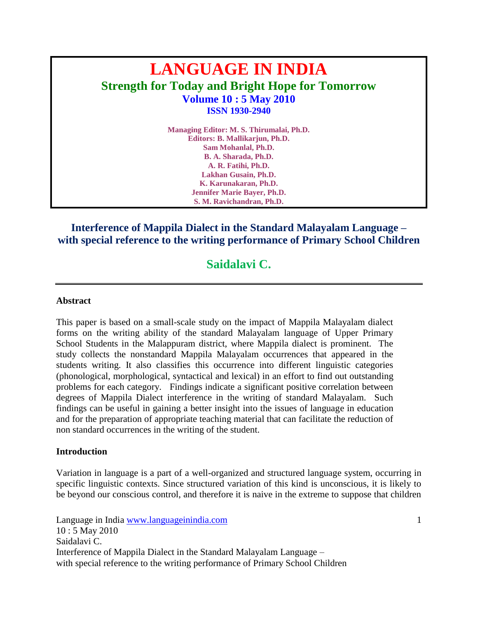# **LANGUAGE IN INDIA Strength for Today and Bright Hope for Tomorrow Volume 10 : 5 May 2010 ISSN 1930-2940**

**Managing Editor: M. S. Thirumalai, Ph.D. Editors: B. Mallikarjun, Ph.D. Sam Mohanlal, Ph.D. B. A. Sharada, Ph.D. A. R. Fatihi, Ph.D. Lakhan Gusain, Ph.D. K. Karunakaran, Ph.D. Jennifer Marie Bayer, Ph.D. S. M. Ravichandran, Ph.D.**

### **Interference of Mappila Dialect in the Standard Malayalam Language – with special reference to the writing performance of Primary School Children**

## **Saidalavi C.**

#### **Abstract**

This paper is based on a small-scale study on the impact of Mappila Malayalam dialect forms on the writing ability of the standard Malayalam language of Upper Primary School Students in the Malappuram district, where Mappila dialect is prominent. The study collects the nonstandard Mappila Malayalam occurrences that appeared in the students writing. It also classifies this occurrence into different linguistic categories (phonological, morphological, syntactical and lexical) in an effort to find out outstanding problems for each category. Findings indicate a significant positive correlation between degrees of Mappila Dialect interference in the writing of standard Malayalam. Such findings can be useful in gaining a better insight into the issues of language in education and for the preparation of appropriate teaching material that can facilitate the reduction of non standard occurrences in the writing of the student.

#### **Introduction**

Variation in language is a part of a well-organized and structured language system, occurring in specific linguistic contexts. Since structured variation of this kind is unconscious, it is likely to be beyond our conscious control, and therefore it is naive in the extreme to suppose that children

Language in India www.languageinindia.com 1 10 : 5 May 2010 Saidalavi C. Interference of Mappila Dialect in the Standard Malayalam Language – with special reference to the writing performance of Primary School Children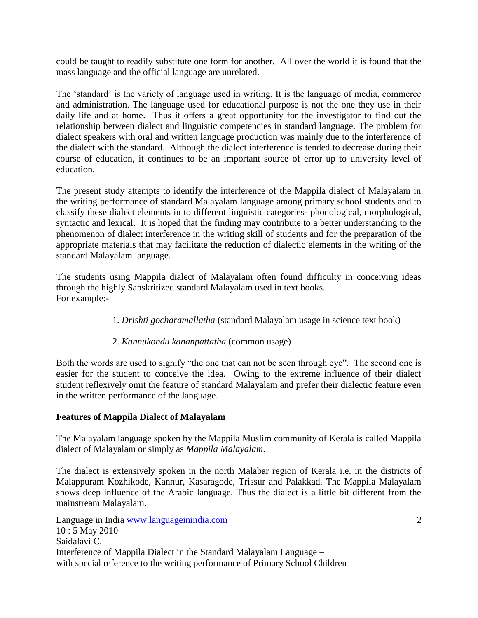could be taught to readily substitute one form for another. All over the world it is found that the mass language and the official language are unrelated.

The 'standard' is the variety of language used in writing. It is the language of media, commerce and administration. The language used for educational purpose is not the one they use in their daily life and at home. Thus it offers a great opportunity for the investigator to find out the relationship between dialect and linguistic competencies in standard language. The problem for dialect speakers with oral and written language production was mainly due to the interference of the dialect with the standard. Although the dialect interference is tended to decrease during their course of education, it continues to be an important source of error up to university level of education.

The present study attempts to identify the interference of the Mappila dialect of Malayalam in the writing performance of standard Malayalam language among primary school students and to classify these dialect elements in to different linguistic categories- phonological, morphological, syntactic and lexical. It is hoped that the finding may contribute to a better understanding to the phenomenon of dialect interference in the writing skill of students and for the preparation of the appropriate materials that may facilitate the reduction of dialectic elements in the writing of the standard Malayalam language.

The students using Mappila dialect of Malayalam often found difficulty in conceiving ideas through the highly Sanskritized standard Malayalam used in text books. For example:-

- 1. *Drishti gocharamallatha* (standard Malayalam usage in science text book)
- 2. *Kannukondu kananpattatha* (common usage)

Both the words are used to signify "the one that can not be seen through eye". The second one is easier for the student to conceive the idea. Owing to the extreme influence of their dialect student reflexively omit the feature of standard Malayalam and prefer their dialectic feature even in the written performance of the language.

#### **Features of Mappila Dialect of Malayalam**

The Malayalam language spoken by the Mappila Muslim community of Kerala is called Mappila dialect of Malayalam or simply as *Mappila Malayalam*.

The dialect is extensively spoken in the north Malabar region of Kerala i.e. in the districts of Malappuram Kozhikode, Kannur, Kasaragode, Trissur and Palakkad. The Mappila Malayalam shows deep influence of the Arabic language. Thus the dialect is a little bit different from the mainstream Malayalam.

Language in India www.languageinindia.com 2 10 : 5 May 2010 Saidalavi C. Interference of Mappila Dialect in the Standard Malayalam Language – with special reference to the writing performance of Primary School Children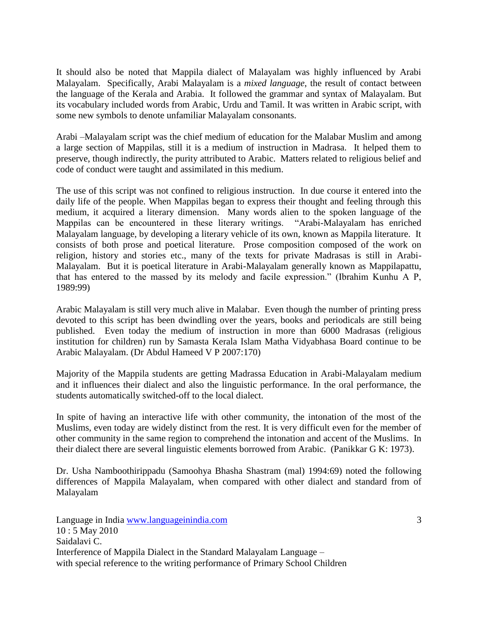It should also be noted that Mappila dialect of Malayalam was highly influenced by Arabi Malayalam. Specifically, Arabi Malayalam is a *mixed language*, the result of contact between the language of the Kerala and Arabia. It followed the grammar and syntax of Malayalam. But its vocabulary included words from Arabic, Urdu and Tamil. It was written in Arabic script, with some new symbols to denote unfamiliar Malayalam consonants.

Arabi –Malayalam script was the chief medium of education for the Malabar Muslim and among a large section of Mappilas, still it is a medium of instruction in Madrasa. It helped them to preserve, though indirectly, the purity attributed to Arabic. Matters related to religious belief and code of conduct were taught and assimilated in this medium.

The use of this script was not confined to religious instruction. In due course it entered into the daily life of the people. When Mappilas began to express their thought and feeling through this medium, it acquired a literary dimension. Many words alien to the spoken language of the Mappilas can be encountered in these literary writings. "Arabi-Malayalam has enriched Malayalam language, by developing a literary vehicle of its own, known as Mappila literature. It consists of both prose and poetical literature. Prose composition composed of the work on religion, history and stories etc., many of the texts for private Madrasas is still in Arabi-Malayalam. But it is poetical literature in Arabi-Malayalam generally known as Mappilapattu, that has entered to the massed by its melody and facile expression." (Ibrahim Kunhu A P, 1989:99)

Arabic Malayalam is still very much alive in Malabar. Even though the number of printing press devoted to this script has been dwindling over the years, books and periodicals are still being published. Even today the medium of instruction in more than 6000 Madrasas (religious institution for children) run by Samasta Kerala Islam Matha Vidyabhasa Board continue to be Arabic Malayalam. (Dr Abdul Hameed V P 2007:170)

Majority of the Mappila students are getting Madrassa Education in Arabi-Malayalam medium and it influences their dialect and also the linguistic performance. In the oral performance, the students automatically switched-off to the local dialect.

In spite of having an interactive life with other community, the intonation of the most of the Muslims, even today are widely distinct from the rest. It is very difficult even for the member of other community in the same region to comprehend the intonation and accent of the Muslims. In their dialect there are several linguistic elements borrowed from Arabic. (Panikkar G K: 1973).

Dr. Usha Namboothirippadu (Samoohya Bhasha Shastram (mal) 1994:69) noted the following differences of Mappila Malayalam, when compared with other dialect and standard from of Malayalam

Language in India www.languageinindia.com 3 10 : 5 May 2010 Saidalavi C. Interference of Mappila Dialect in the Standard Malayalam Language – with special reference to the writing performance of Primary School Children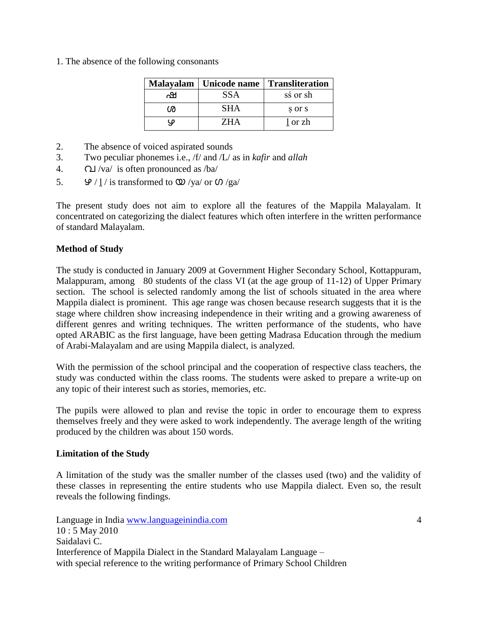1. The absence of the following consonants

|   | Malayalam   Unicode name | <b>Transliteration</b> |
|---|--------------------------|------------------------|
| ഷ | SSA                      | sś or sh               |
| ശ | SHA                      | s or s                 |
| Φ | ZH A                     | l or zh                |

- 2. The absence of voiced aspirated sounds
- 3. Two peculiar phonemes i.e., /f/ and /L/ as in *kafir* and *allah*
- 4.  $\Omega$  /va/ is often pronounced as /ba/
- 5.  $\mathcal{P}/\underline{1}$  / is transformed to  $\mathcal{Q}/\text{ya}/\text{ or } \mathcal{O}/\text{ga}/\mathcal{Q}$

The present study does not aim to explore all the features of the Mappila Malayalam. It concentrated on categorizing the dialect features which often interfere in the written performance of standard Malayalam.

#### **Method of Study**

The study is conducted in January 2009 at Government Higher Secondary School, Kottappuram, Malappuram, among 80 students of the class VI (at the age group of 11-12) of Upper Primary section. The school is selected randomly among the list of schools situated in the area where Mappila dialect is prominent. This age range was chosen because research suggests that it is the stage where children show increasing independence in their writing and a growing awareness of different genres and writing techniques. The written performance of the students, who have opted ARABIC as the first language, have been getting Madrasa Education through the medium of Arabi-Malayalam and are using Mappila dialect, is analyzed.

With the permission of the school principal and the cooperation of respective class teachers, the study was conducted within the class rooms. The students were asked to prepare a write-up on any topic of their interest such as stories, memories, etc.

The pupils were allowed to plan and revise the topic in order to encourage them to express themselves freely and they were asked to work independently. The average length of the writing produced by the children was about 150 words.

#### **Limitation of the Study**

A limitation of the study was the smaller number of the classes used (two) and the validity of these classes in representing the entire students who use Mappila dialect. Even so, the result reveals the following findings.

Language in India www.languageinindia.com 4 10 : 5 May 2010 Saidalavi C. Interference of Mappila Dialect in the Standard Malayalam Language – with special reference to the writing performance of Primary School Children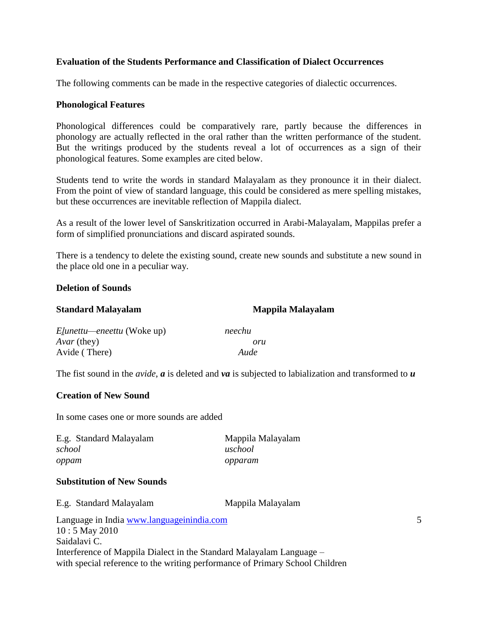#### **Evaluation of the Students Performance and Classification of Dialect Occurrences**

The following comments can be made in the respective categories of dialectic occurrences.

#### **Phonological Features**

Phonological differences could be comparatively rare, partly because the differences in phonology are actually reflected in the oral rather than the written performance of the student. But the writings produced by the students reveal a lot of occurrences as a sign of their phonological features. Some examples are cited below.

Students tend to write the words in standard Malayalam as they pronounce it in their dialect. From the point of view of standard language, this could be considered as mere spelling mistakes, but these occurrences are inevitable reflection of Mappila dialect.

As a result of the lower level of Sanskritization occurred in Arabi-Malayalam, Mappilas prefer a form of simplified pronunciations and discard aspirated sounds.

There is a tendency to delete the existing sound, create new sounds and substitute a new sound in the place old one in a peculiar way.

#### **Deletion of Sounds**

| <b>Standard Malayalam</b>         | Mappila Malayalam |  |
|-----------------------------------|-------------------|--|
| <i>Elunettu—eneettu</i> (Woke up) | neechu            |  |
| <i>Avar</i> (they)                | oru               |  |
| Avide (There)                     | Aude              |  |

The fist sound in the *avide*, *a* is deleted and *va* is subjected to labialization and transformed to *u*

#### **Creation of New Sound**

In some cases one or more sounds are added

| E.g. Standard Malayalam | Mappila Malayalam |
|-------------------------|-------------------|
| school                  | uschool           |
| oppam                   | opparam           |

#### **Substitution of New Sounds**

Language in India www.languageinindia.com 5 10 : 5 May 2010 E.g. Standard Malayalam Mappila Malayalam

Saidalavi C. Interference of Mappila Dialect in the Standard Malayalam Language – with special reference to the writing performance of Primary School Children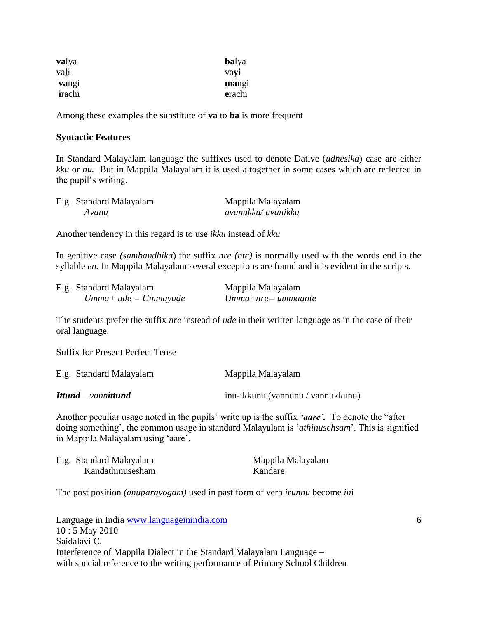| valya  | <b>balya</b> |
|--------|--------------|
| vali   | vayi         |
| vangi  | mangi        |
| irachi | erachi       |

Among these examples the substitute of **va** to **ba** is more frequent

#### **Syntactic Features**

In Standard Malayalam language the suffixes used to denote Dative (*udhesika*) case are either *kku* or *nu.* But in Mappila Malayalam it is used altogether in some cases which are reflected in the pupil"s writing.

| E.g. Standard Malayalam | Mappila Malayalam  |
|-------------------------|--------------------|
| Avanu                   | avanukku/ avanikku |

Another tendency in this regard is to use *ikku* instead of *kku*

In genitive case *(sambandhika*) the suffix *nre (nte)* is normally used with the words end in the syllable *en.* In Mappila Malayalam several exceptions are found and it is evident in the scripts.

| E.g. Standard Malayalam    | Mappila Malayalam     |
|----------------------------|-----------------------|
| $U$ mma+ ude = $U$ mmayude | $U$ mma+nre= ummaante |

The students prefer the suffix *nre* instead of *ude* in their written language as in the case of their oral language.

Suffix for Present Perfect Tense

| E.g. Standard Malayalam    | Mappila Malayalam                 |
|----------------------------|-----------------------------------|
| <b>Ittund</b> – vannittund | inu-ikkunu (vannunu / vannukkunu) |

Another peculiar usage noted in the pupils" write up is the suffix *'aare'.* To denote the "after doing something", the common usage in standard Malayalam is "*athinusehsam*". This is signified in Mappila Malayalam using "aare".

| E.g. Standard Malayalam | Mappila Malayalam |
|-------------------------|-------------------|
| Kandathinusesham        | Kandare           |

The post position *(anuparayogam)* used in past form of verb *irunnu* become *in*i

Language in India www.languageinindia.com 6 10 : 5 May 2010 Saidalavi C. Interference of Mappila Dialect in the Standard Malayalam Language – with special reference to the writing performance of Primary School Children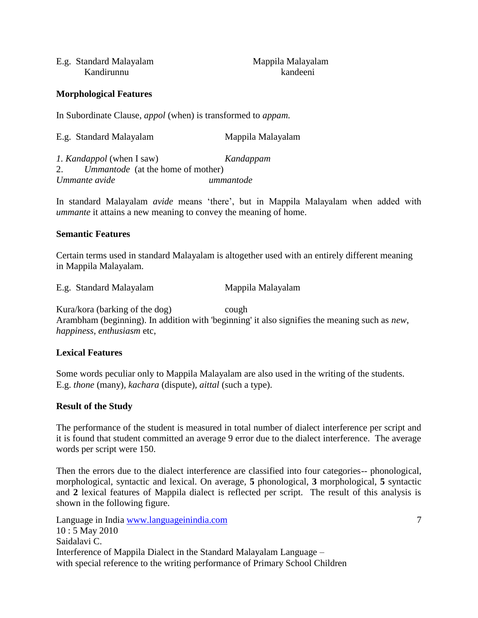| E.g. Standard Malayalam | Mappila Malayalam |
|-------------------------|-------------------|
| Kandirunnu              | kandeeni          |

**Morphological Features**

In Subordinate Clause, *appol* (when) is transformed to *appam.*

| E.g. Standard Malayalam | Mappila Malayalam |
|-------------------------|-------------------|
|-------------------------|-------------------|

*1. Kandappol* (when I saw) *Kandappam* 2. *Ummantode* (at the home of mother) *Ummante avide ummantode*

In standard Malayalam *avide* means "there", but in Mappila Malayalam when added with *ummante* it attains a new meaning to convey the meaning of home.

#### **Semantic Features**

Certain terms used in standard Malayalam is altogether used with an entirely different meaning in Mappila Malayalam.

E.g. Standard Malayalam Mappila Malayalam

Kura/kora (barking of the dog) cough Arambham (beginning). In addition with 'beginning' it also signifies the meaning such as *new*, *happiness*, *enthusiasm* etc,

#### **Lexical Features**

Some words peculiar only to Mappila Malayalam are also used in the writing of the students. E.g. *thone* (many)*, kachara* (dispute)*, aittal* (such a type).

#### **Result of the Study**

The performance of the student is measured in total number of dialect interference per script and it is found that student committed an average 9 error due to the dialect interference. The average words per script were 150.

Then the errors due to the dialect interference are classified into four categories-- phonological, morphological, syntactic and lexical. On average, **5** phonological, **3** morphological, **5** syntactic and **2** lexical features of Mappila dialect is reflected per script. The result of this analysis is shown in the following figure.

Language in India www.languageinindia.com 7 10 : 5 May 2010 Saidalavi C. Interference of Mappila Dialect in the Standard Malayalam Language – with special reference to the writing performance of Primary School Children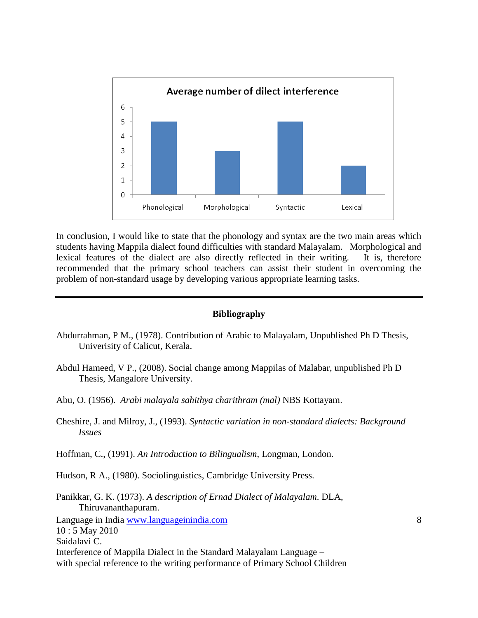

In conclusion, I would like to state that the phonology and syntax are the two main areas which students having Mappila dialect found difficulties with standard Malayalam. Morphological and lexical features of the dialect are also directly reflected in their writing. It is, therefore recommended that the primary school teachers can assist their student in overcoming the problem of non-standard usage by developing various appropriate learning tasks.

#### **Bibliography**

- Abdurrahman, P M., (1978). Contribution of Arabic to Malayalam, Unpublished Ph D Thesis, Univerisity of Calicut, Kerala.
- Abdul Hameed, V P., (2008). Social change among Mappilas of Malabar, unpublished Ph D Thesis, Mangalore University.
- Abu, O. (1956). *Arabi malayala sahithya charithram (mal)* NBS Kottayam.
- Cheshire, J. and Milroy, J., (1993). *Syntactic variation in non-standard dialects: Background Issues*

Hoffman, C., (1991). *An Introduction to Bilingualism*, Longman, London.

Hudson, R A., (1980). Sociolinguistics, Cambridge University Press.

Interference of Mappila Dialect in the Standard Malayalam Language –

Saidalavi C.

```
Language in India www.languageinindia.com 8
10 : 5 May 2010
Panikkar, G. K. (1973). A description of Ernad Dialect of Malayalam. DLA, 
    Thiruvananthapuram.
```
with special reference to the writing performance of Primary School Children